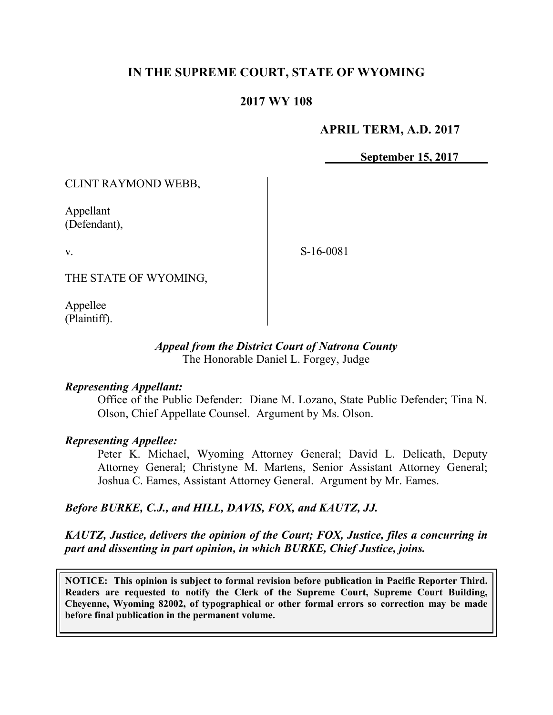# **IN THE SUPREME COURT, STATE OF WYOMING**

## **2017 WY 108**

## **APRIL TERM, A.D. 2017**

**September 15, 2017**

CLINT RAYMOND WEBB,

Appellant (Defendant),

v.

S-16-0081

THE STATE OF WYOMING,

Appellee (Plaintiff).

### *Appeal from the District Court of Natrona County* The Honorable Daniel L. Forgey, Judge

### *Representing Appellant:*

Office of the Public Defender: Diane M. Lozano, State Public Defender; Tina N. Olson, Chief Appellate Counsel. Argument by Ms. Olson.

## *Representing Appellee:*

Peter K. Michael, Wyoming Attorney General; David L. Delicath, Deputy Attorney General; Christyne M. Martens, Senior Assistant Attorney General; Joshua C. Eames, Assistant Attorney General. Argument by Mr. Eames.

## *Before BURKE, C.J., and HILL, DAVIS, FOX, and KAUTZ, JJ.*

# *KAUTZ, Justice, delivers the opinion of the Court; FOX, Justice, files a concurring in part and dissenting in part opinion, in which BURKE, Chief Justice, joins.*

**NOTICE: This opinion is subject to formal revision before publication in Pacific Reporter Third. Readers are requested to notify the Clerk of the Supreme Court, Supreme Court Building, Cheyenne, Wyoming 82002, of typographical or other formal errors so correction may be made before final publication in the permanent volume.**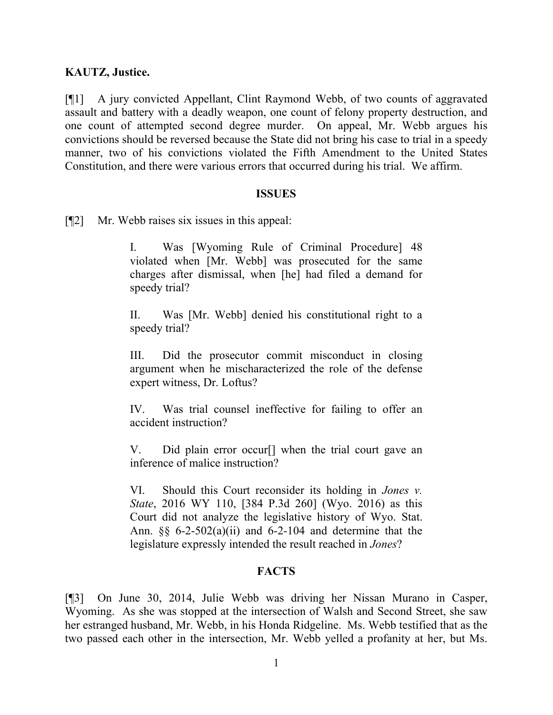## **KAUTZ, Justice.**

[¶1] A jury convicted Appellant, Clint Raymond Webb, of two counts of aggravated assault and battery with a deadly weapon, one count of felony property destruction, and one count of attempted second degree murder. On appeal, Mr. Webb argues his convictions should be reversed because the State did not bring his case to trial in a speedy manner, two of his convictions violated the Fifth Amendment to the United States Constitution, and there were various errors that occurred during his trial. We affirm.

### **ISSUES**

[¶2] Mr. Webb raises six issues in this appeal:

I. Was [Wyoming Rule of Criminal Procedure] 48 violated when [Mr. Webb] was prosecuted for the same charges after dismissal, when [he] had filed a demand for speedy trial?

II. Was [Mr. Webb] denied his constitutional right to a speedy trial?

III. Did the prosecutor commit misconduct in closing argument when he mischaracterized the role of the defense expert witness, Dr. Loftus?

IV. Was trial counsel ineffective for failing to offer an accident instruction?

V. Did plain error occur[] when the trial court gave an inference of malice instruction?

VI. Should this Court reconsider its holding in *Jones v. State*, 2016 WY 110, [384 P.3d 260] (Wyo. 2016) as this Court did not analyze the legislative history of Wyo. Stat. Ann.  $\S$ § 6-2-502(a)(ii) and 6-2-104 and determine that the legislature expressly intended the result reached in *Jones*?

# **FACTS**

[¶3] On June 30, 2014, Julie Webb was driving her Nissan Murano in Casper, Wyoming. As she was stopped at the intersection of Walsh and Second Street, she saw her estranged husband, Mr. Webb, in his Honda Ridgeline. Ms. Webb testified that as the two passed each other in the intersection, Mr. Webb yelled a profanity at her, but Ms.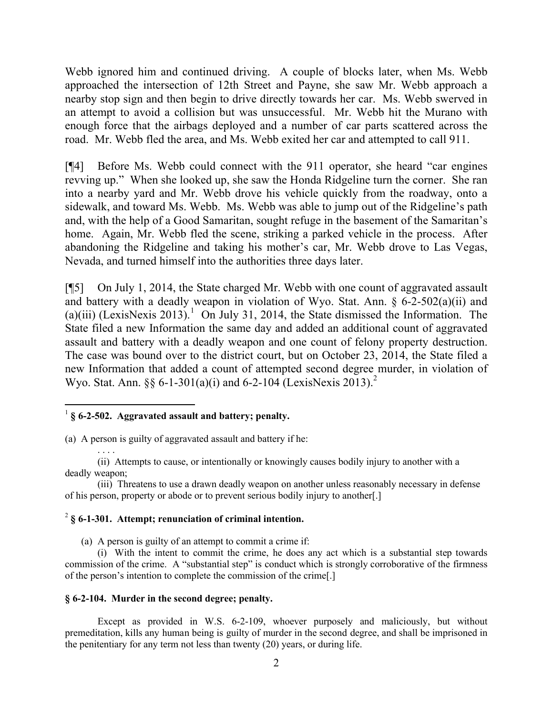Webb ignored him and continued driving. A couple of blocks later, when Ms. Webb approached the intersection of 12th Street and Payne, she saw Mr. Webb approach a nearby stop sign and then begin to drive directly towards her car. Ms. Webb swerved in an attempt to avoid a collision but was unsuccessful. Mr. Webb hit the Murano with enough force that the airbags deployed and a number of car parts scattered across the road. Mr. Webb fled the area, and Ms. Webb exited her car and attempted to call 911.

[¶4] Before Ms. Webb could connect with the 911 operator, she heard "car engines revving up." When she looked up, she saw the Honda Ridgeline turn the corner. She ran into a nearby yard and Mr. Webb drove his vehicle quickly from the roadway, onto a sidewalk, and toward Ms. Webb. Ms. Webb was able to jump out of the Ridgeline's path and, with the help of a Good Samaritan, sought refuge in the basement of the Samaritan's home. Again, Mr. Webb fled the scene, striking a parked vehicle in the process. After abandoning the Ridgeline and taking his mother's car, Mr. Webb drove to Las Vegas, Nevada, and turned himself into the authorities three days later.

[¶5] On July 1, 2014, the State charged Mr. Webb with one count of aggravated assault and battery with a deadly weapon in violation of Wyo. Stat. Ann. § 6-2-502(a)(ii) and (a)(iii) (LexisNexis 2013).<sup>1</sup> On July 31, 2014, the State dismissed the Information. The State filed a new Information the same day and added an additional count of aggravated assault and battery with a deadly weapon and one count of felony property destruction. The case was bound over to the district court, but on October 23, 2014, the State filed a new Information that added a count of attempted second degree murder, in violation of Wyo. Stat. Ann. §§ 6-1-301(a)(i) and 6-2-104 (LexisNexis 2013).<sup>2</sup>

### <sup>1</sup> § 6-2-502. Aggravated assault and battery; penalty.

 $\overline{a}$ 

(a) A person is guilty of aggravated assault and battery if he:

. . . . (ii) Attempts to cause, or intentionally or knowingly causes bodily injury to another with a deadly weapon;

(iii) Threatens to use a drawn deadly weapon on another unless reasonably necessary in defense of his person, property or abode or to prevent serious bodily injury to another[.]

### 2 **§ 6-1-301. Attempt; renunciation of criminal intention.**

(a) A person is guilty of an attempt to commit a crime if:

(i) With the intent to commit the crime, he does any act which is a substantial step towards commission of the crime. A "substantial step" is conduct which is strongly corroborative of the firmness of the person's intention to complete the commission of the crime[.]

#### **§ 6-2-104. Murder in the second degree; penalty.**

Except as provided in W.S. 6-2-109, whoever purposely and maliciously, but without premeditation, kills any human being is guilty of murder in the second degree, and shall be imprisoned in the penitentiary for any term not less than twenty (20) years, or during life.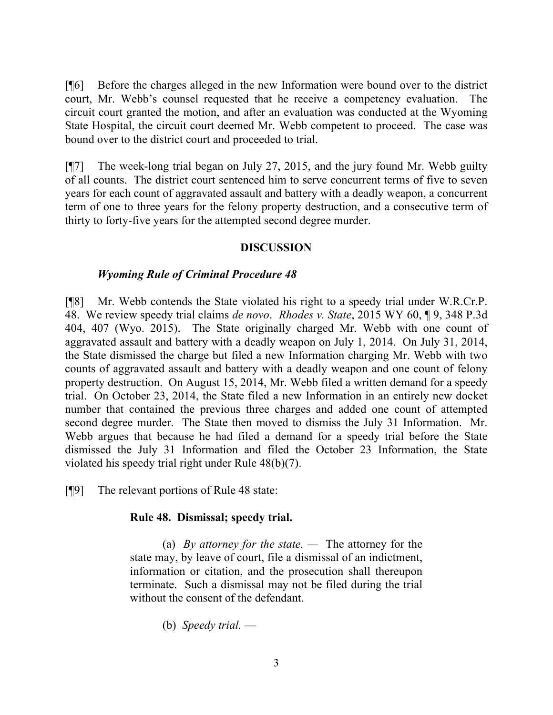[¶6] Before the charges alleged in the new Information were bound over to the district court, Mr. Webb's counsel requested that he receive a competency evaluation. The circuit court granted the motion, and after an evaluation was conducted at the Wyoming State Hospital, the circuit court deemed Mr. Webb competent to proceed. The case was bound over to the district court and proceeded to trial.

[¶7] The week-long trial began on July 27, 2015, and the jury found Mr. Webb guilty of all counts. The district court sentenced him to serve concurrent terms of five to seven years for each count of aggravated assault and battery with a deadly weapon, a concurrent term of one to three years for the felony property destruction, and a consecutive term of thirty to forty-five years for the attempted second degree murder.

## **DISCUSSION**

## *Wyoming Rule of Criminal Procedure 48*

[¶8] Mr. Webb contends the State violated his right to a speedy trial under W.R.Cr.P. 48. We review speedy trial claims *de novo*. *Rhodes v. State*, 2015 WY 60, ¶ 9, 348 P.3d 404, 407 (Wyo. 2015). The State originally charged Mr. Webb with one count of aggravated assault and battery with a deadly weapon on July 1, 2014. On July 31, 2014, the State dismissed the charge but filed a new Information charging Mr. Webb with two counts of aggravated assault and battery with a deadly weapon and one count of felony property destruction. On August 15, 2014, Mr. Webb filed a written demand for a speedy trial. On October 23, 2014, the State filed a new Information in an entirely new docket number that contained the previous three charges and added one count of attempted second degree murder. The State then moved to dismiss the July 31 Information. Mr. Webb argues that because he had filed a demand for a speedy trial before the State dismissed the July 31 Information and filed the October 23 Information, the State violated his speedy trial right under Rule 48(b)(7).

[¶9] The relevant portions of Rule 48 state:

## **Rule 48. Dismissal; speedy trial.**

(a) *By attorney for the state. —* The attorney for the state may, by leave of court, file a dismissal of an indictment, information or citation, and the prosecution shall thereupon terminate. Such a dismissal may not be filed during the trial without the consent of the defendant.

(b) *Speedy trial.* —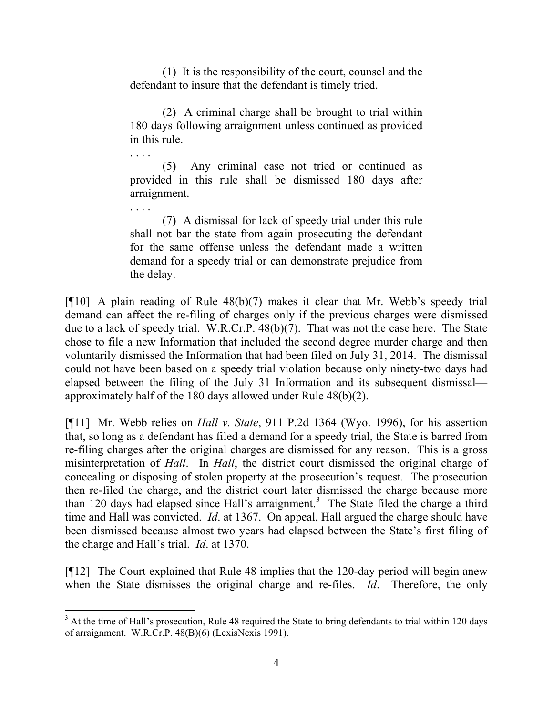(1) It is the responsibility of the court, counsel and the defendant to insure that the defendant is timely tried.

(2) A criminal charge shall be brought to trial within 180 days following arraignment unless continued as provided in this rule.

(5) Any criminal case not tried or continued as provided in this rule shall be dismissed 180 days after arraignment.

. . . .

. . . .

l

(7) A dismissal for lack of speedy trial under this rule shall not bar the state from again prosecuting the defendant for the same offense unless the defendant made a written demand for a speedy trial or can demonstrate prejudice from the delay.

[¶10] A plain reading of Rule 48(b)(7) makes it clear that Mr. Webb's speedy trial demand can affect the re-filing of charges only if the previous charges were dismissed due to a lack of speedy trial. W.R.Cr.P. 48(b)(7). That was not the case here. The State chose to file a new Information that included the second degree murder charge and then voluntarily dismissed the Information that had been filed on July 31, 2014. The dismissal could not have been based on a speedy trial violation because only ninety-two days had elapsed between the filing of the July 31 Information and its subsequent dismissal approximately half of the 180 days allowed under Rule 48(b)(2).

[¶11] Mr. Webb relies on *Hall v. State*, 911 P.2d 1364 (Wyo. 1996), for his assertion that, so long as a defendant has filed a demand for a speedy trial, the State is barred from re-filing charges after the original charges are dismissed for any reason. This is a gross misinterpretation of *Hall*. In *Hall*, the district court dismissed the original charge of concealing or disposing of stolen property at the prosecution's request. The prosecution then re-filed the charge, and the district court later dismissed the charge because more than 120 days had elapsed since Hall's arraignment.<sup>3</sup> The State filed the charge a third time and Hall was convicted. *Id*. at 1367. On appeal, Hall argued the charge should have been dismissed because almost two years had elapsed between the State's first filing of the charge and Hall's trial. *Id*. at 1370.

[¶12] The Court explained that Rule 48 implies that the 120-day period will begin anew when the State dismisses the original charge and re-files. *Id*. Therefore, the only

<sup>&</sup>lt;sup>3</sup> At the time of Hall's prosecution, Rule 48 required the State to bring defendants to trial within 120 days of arraignment. W.R.Cr.P. 48(B)(6) (LexisNexis 1991).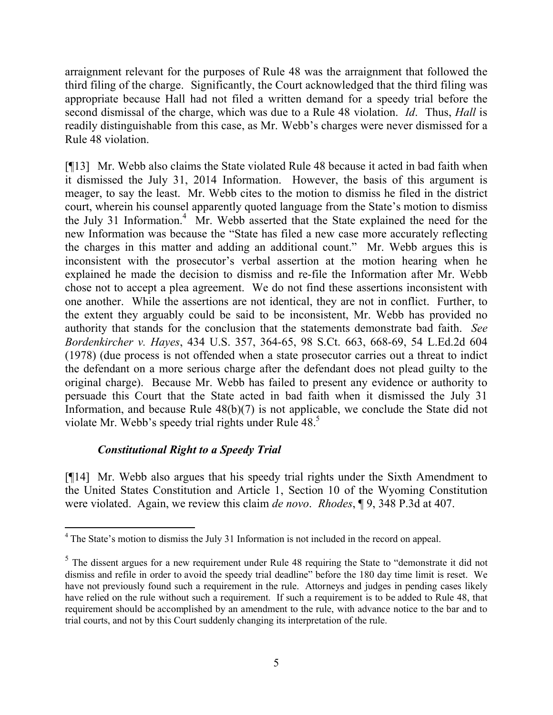arraignment relevant for the purposes of Rule 48 was the arraignment that followed the third filing of the charge. Significantly, the Court acknowledged that the third filing was appropriate because Hall had not filed a written demand for a speedy trial before the second dismissal of the charge, which was due to a Rule 48 violation. *Id*. Thus, *Hall* is readily distinguishable from this case, as Mr. Webb's charges were never dismissed for a Rule 48 violation.

[¶13] Mr. Webb also claims the State violated Rule 48 because it acted in bad faith when it dismissed the July 31, 2014 Information. However, the basis of this argument is meager, to say the least. Mr. Webb cites to the motion to dismiss he filed in the district court, wherein his counsel apparently quoted language from the State's motion to dismiss the July 31 Information.<sup>4</sup> Mr. Webb asserted that the State explained the need for the new Information was because the "State has filed a new case more accurately reflecting the charges in this matter and adding an additional count." Mr. Webb argues this is inconsistent with the prosecutor's verbal assertion at the motion hearing when he explained he made the decision to dismiss and re-file the Information after Mr. Webb chose not to accept a plea agreement. We do not find these assertions inconsistent with one another. While the assertions are not identical, they are not in conflict. Further, to the extent they arguably could be said to be inconsistent, Mr. Webb has provided no authority that stands for the conclusion that the statements demonstrate bad faith. *See Bordenkircher v. Hayes*, 434 U.S. 357, 364-65, 98 S.Ct. 663, 668-69, 54 L.Ed.2d 604 (1978) (due process is not offended when a state prosecutor carries out a threat to indict the defendant on a more serious charge after the defendant does not plead guilty to the original charge). Because Mr. Webb has failed to present any evidence or authority to persuade this Court that the State acted in bad faith when it dismissed the July 31 Information, and because Rule  $48(b)(7)$  is not applicable, we conclude the State did not violate Mr. Webb's speedy trial rights under Rule 48.<sup>5</sup>

# *Constitutional Right to a Speedy Trial*

l

[¶14] Mr. Webb also argues that his speedy trial rights under the Sixth Amendment to the United States Constitution and Article 1, Section 10 of the Wyoming Constitution were violated. Again, we review this claim *de novo*. *Rhodes*, ¶ 9, 348 P.3d at 407.

<sup>&</sup>lt;sup>4</sup> The State's motion to dismiss the July 31 Information is not included in the record on appeal.

 $<sup>5</sup>$  The dissent argues for a new requirement under Rule 48 requiring the State to "demonstrate it did not</sup> dismiss and refile in order to avoid the speedy trial deadline" before the 180 day time limit is reset. We have not previously found such a requirement in the rule. Attorneys and judges in pending cases likely have relied on the rule without such a requirement. If such a requirement is to be added to Rule 48, that requirement should be accomplished by an amendment to the rule, with advance notice to the bar and to trial courts, and not by this Court suddenly changing its interpretation of the rule.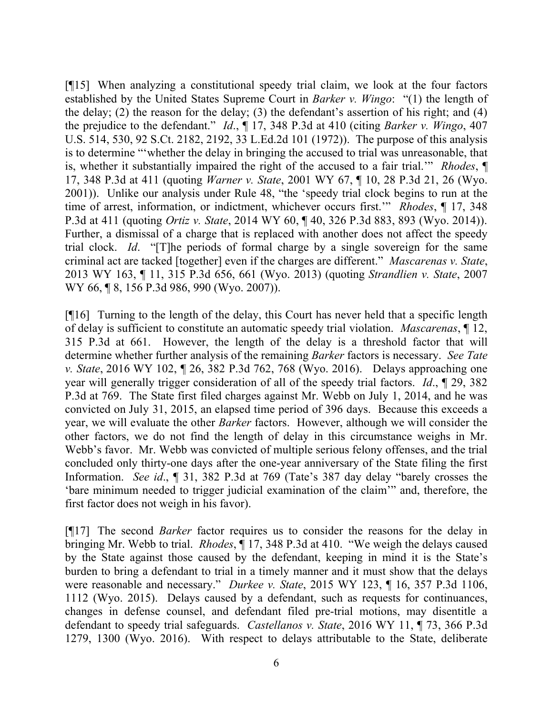[¶15] When analyzing a constitutional speedy trial claim, we look at the four factors established by the United States Supreme Court in *Barker v. Wingo*: "(1) the length of the delay; (2) the reason for the delay; (3) the defendant's assertion of his right; and (4) the prejudice to the defendant." *Id*., ¶ 17, 348 P.3d at 410 (citing *Barker v. Wingo*, 407 U.S. 514, 530, 92 S.Ct. 2182, 2192, 33 L.Ed.2d 101 (1972)). The purpose of this analysis is to determine "'whether the delay in bringing the accused to trial was unreasonable, that is, whether it substantially impaired the right of the accused to a fair trial.'" *Rhodes*, ¶ 17, 348 P.3d at 411 (quoting *Warner v. State*, 2001 WY 67, ¶ 10, 28 P.3d 21, 26 (Wyo. 2001)). Unlike our analysis under Rule 48, "the 'speedy trial clock begins to run at the time of arrest, information, or indictment, whichever occurs first.'" *Rhodes*, ¶ 17, 348 P.3d at 411 (quoting *Ortiz v. State*, 2014 WY 60, ¶ 40, 326 P.3d 883, 893 (Wyo. 2014)). Further, a dismissal of a charge that is replaced with another does not affect the speedy trial clock. *Id*. "[T]he periods of formal charge by a single sovereign for the same criminal act are tacked [together] even if the charges are different." *Mascarenas v. State*, 2013 WY 163, ¶ 11, 315 P.3d 656, 661 (Wyo. 2013) (quoting *Strandlien v. State*, 2007 WY 66, **[8, 156 P.3d 986, 990 (Wyo. 2007)**).

[¶16] Turning to the length of the delay, this Court has never held that a specific length of delay is sufficient to constitute an automatic speedy trial violation. *Mascarenas*, ¶ 12, 315 P.3d at 661. However, the length of the delay is a threshold factor that will determine whether further analysis of the remaining *Barker* factors is necessary. *See Tate v. State*, 2016 WY 102, ¶ 26, 382 P.3d 762, 768 (Wyo. 2016). Delays approaching one year will generally trigger consideration of all of the speedy trial factors. *Id*., ¶ 29, 382 P.3d at 769. The State first filed charges against Mr. Webb on July 1, 2014, and he was convicted on July 31, 2015, an elapsed time period of 396 days. Because this exceeds a year, we will evaluate the other *Barker* factors. However, although we will consider the other factors, we do not find the length of delay in this circumstance weighs in Mr. Webb's favor. Mr. Webb was convicted of multiple serious felony offenses, and the trial concluded only thirty-one days after the one-year anniversary of the State filing the first Information. *See id*., ¶ 31, 382 P.3d at 769 (Tate's 387 day delay "barely crosses the 'bare minimum needed to trigger judicial examination of the claim'" and, therefore, the first factor does not weigh in his favor).

[¶17] The second *Barker* factor requires us to consider the reasons for the delay in bringing Mr. Webb to trial. *Rhodes*, ¶ 17, 348 P.3d at 410. "We weigh the delays caused by the State against those caused by the defendant, keeping in mind it is the State's burden to bring a defendant to trial in a timely manner and it must show that the delays were reasonable and necessary." *Durkee v. State*, 2015 WY 123, ¶ 16, 357 P.3d 1106, 1112 (Wyo. 2015). Delays caused by a defendant, such as requests for continuances, changes in defense counsel, and defendant filed pre-trial motions, may disentitle a defendant to speedy trial safeguards. *Castellanos v. State*, 2016 WY 11, ¶ 73, 366 P.3d 1279, 1300 (Wyo. 2016). With respect to delays attributable to the State, deliberate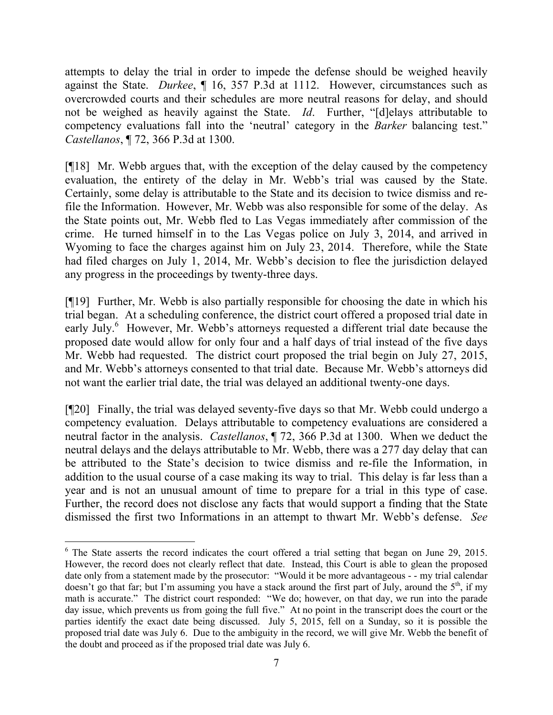attempts to delay the trial in order to impede the defense should be weighed heavily against the State. *Durkee*, ¶ 16, 357 P.3d at 1112. However, circumstances such as overcrowded courts and their schedules are more neutral reasons for delay, and should not be weighed as heavily against the State. *Id*. Further, "[d]elays attributable to competency evaluations fall into the 'neutral' category in the *Barker* balancing test." *Castellanos*, ¶ 72, 366 P.3d at 1300.

[¶18] Mr. Webb argues that, with the exception of the delay caused by the competency evaluation, the entirety of the delay in Mr. Webb's trial was caused by the State. Certainly, some delay is attributable to the State and its decision to twice dismiss and refile the Information. However, Mr. Webb was also responsible for some of the delay. As the State points out, Mr. Webb fled to Las Vegas immediately after commission of the crime. He turned himself in to the Las Vegas police on July 3, 2014, and arrived in Wyoming to face the charges against him on July 23, 2014. Therefore, while the State had filed charges on July 1, 2014, Mr. Webb's decision to flee the jurisdiction delayed any progress in the proceedings by twenty-three days.

[¶19] Further, Mr. Webb is also partially responsible for choosing the date in which his trial began. At a scheduling conference, the district court offered a proposed trial date in early July.<sup>6</sup> However, Mr. Webb's attorneys requested a different trial date because the proposed date would allow for only four and a half days of trial instead of the five days Mr. Webb had requested. The district court proposed the trial begin on July 27, 2015, and Mr. Webb's attorneys consented to that trial date. Because Mr. Webb's attorneys did not want the earlier trial date, the trial was delayed an additional twenty-one days.

[¶20] Finally, the trial was delayed seventy-five days so that Mr. Webb could undergo a competency evaluation. Delays attributable to competency evaluations are considered a neutral factor in the analysis. *Castellanos*, ¶ 72, 366 P.3d at 1300. When we deduct the neutral delays and the delays attributable to Mr. Webb, there was a 277 day delay that can be attributed to the State's decision to twice dismiss and re-file the Information, in addition to the usual course of a case making its way to trial. This delay is far less than a year and is not an unusual amount of time to prepare for a trial in this type of case. Further, the record does not disclose any facts that would support a finding that the State dismissed the first two Informations in an attempt to thwart Mr. Webb's defense. *See* 

 $\overline{a}$ 

<sup>&</sup>lt;sup>6</sup> The State asserts the record indicates the court offered a trial setting that began on June 29, 2015. However, the record does not clearly reflect that date. Instead, this Court is able to glean the proposed date only from a statement made by the prosecutor: "Would it be more advantageous - - my trial calendar doesn't go that far; but I'm assuming you have a stack around the first part of July, around the  $5<sup>th</sup>$ , if my math is accurate." The district court responded: "We do; however, on that day, we run into the parade day issue, which prevents us from going the full five." At no point in the transcript does the court or the parties identify the exact date being discussed. July 5, 2015, fell on a Sunday, so it is possible the proposed trial date was July 6. Due to the ambiguity in the record, we will give Mr. Webb the benefit of the doubt and proceed as if the proposed trial date was July 6.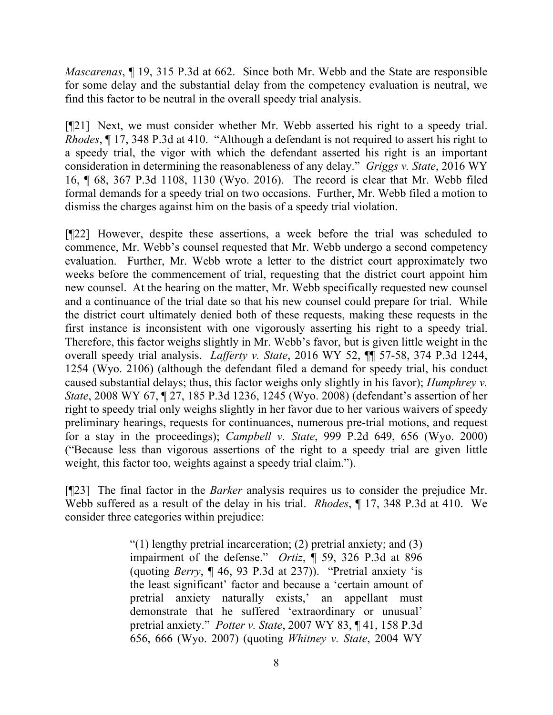*Mascarenas*, ¶ 19, 315 P.3d at 662. Since both Mr. Webb and the State are responsible for some delay and the substantial delay from the competency evaluation is neutral, we find this factor to be neutral in the overall speedy trial analysis.

[¶21] Next, we must consider whether Mr. Webb asserted his right to a speedy trial. *Rhodes*, ¶ 17, 348 P.3d at 410. "Although a defendant is not required to assert his right to a speedy trial, the vigor with which the defendant asserted his right is an important consideration in determining the reasonableness of any delay." *Griggs v. State*, 2016 WY 16, ¶ 68, 367 P.3d 1108, 1130 (Wyo. 2016). The record is clear that Mr. Webb filed formal demands for a speedy trial on two occasions. Further, Mr. Webb filed a motion to dismiss the charges against him on the basis of a speedy trial violation.

[¶22] However, despite these assertions, a week before the trial was scheduled to commence, Mr. Webb's counsel requested that Mr. Webb undergo a second competency evaluation. Further, Mr. Webb wrote a letter to the district court approximately two weeks before the commencement of trial, requesting that the district court appoint him new counsel. At the hearing on the matter, Mr. Webb specifically requested new counsel and a continuance of the trial date so that his new counsel could prepare for trial. While the district court ultimately denied both of these requests, making these requests in the first instance is inconsistent with one vigorously asserting his right to a speedy trial. Therefore, this factor weighs slightly in Mr. Webb's favor, but is given little weight in the overall speedy trial analysis. *Lafferty v. State*, 2016 WY 52, ¶¶ 57-58, 374 P.3d 1244, 1254 (Wyo. 2106) (although the defendant filed a demand for speedy trial, his conduct caused substantial delays; thus, this factor weighs only slightly in his favor); *Humphrey v. State*, 2008 WY 67, ¶ 27, 185 P.3d 1236, 1245 (Wyo. 2008) (defendant's assertion of her right to speedy trial only weighs slightly in her favor due to her various waivers of speedy preliminary hearings, requests for continuances, numerous pre-trial motions, and request for a stay in the proceedings); *Campbell v. State*, 999 P.2d 649, 656 (Wyo. 2000) ("Because less than vigorous assertions of the right to a speedy trial are given little weight, this factor too, weights against a speedy trial claim.").

[¶23] The final factor in the *Barker* analysis requires us to consider the prejudice Mr. Webb suffered as a result of the delay in his trial. *Rhodes*, ¶ 17, 348 P.3d at 410. We consider three categories within prejudice:

> "(1) lengthy pretrial incarceration; (2) pretrial anxiety; and  $(3)$ impairment of the defense." *Ortiz*, ¶ 59, 326 P.3d at 896 (quoting *Berry*, ¶ 46, 93 P.3d at 237)). "Pretrial anxiety 'is the least significant' factor and because a 'certain amount of pretrial anxiety naturally exists,' an appellant must demonstrate that he suffered 'extraordinary or unusual' pretrial anxiety." *Potter v. State*, 2007 WY 83, ¶ 41, 158 P.3d 656, 666 (Wyo. 2007) (quoting *Whitney v. State*, 2004 WY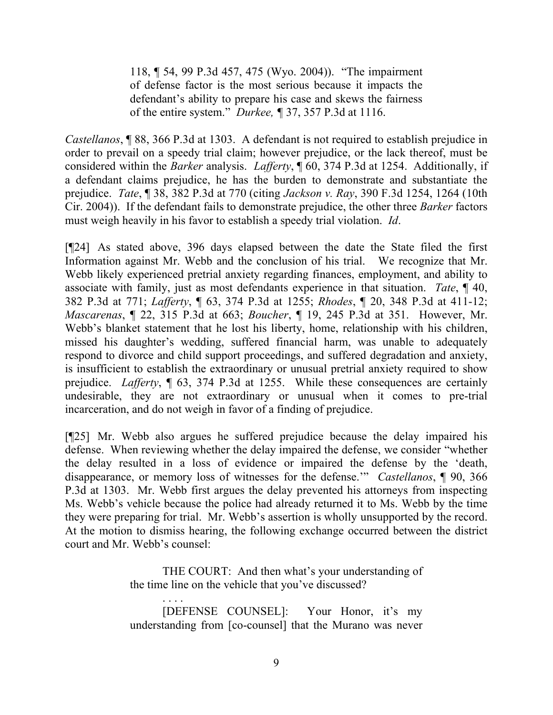118, ¶ 54, 99 P.3d 457, 475 (Wyo. 2004)). "The impairment of defense factor is the most serious because it impacts the defendant's ability to prepare his case and skews the fairness of the entire system." *Durkee, ¶* 37, 357 P.3d at 1116.

*Castellanos*, ¶ 88, 366 P.3d at 1303. A defendant is not required to establish prejudice in order to prevail on a speedy trial claim; however prejudice, or the lack thereof, must be considered within the *Barker* analysis. *Lafferty*, ¶ 60, 374 P.3d at 1254. Additionally, if a defendant claims prejudice, he has the burden to demonstrate and substantiate the prejudice. *Tate*, ¶ 38, 382 P.3d at 770 (citing *Jackson v. Ray*, 390 F.3d 1254, 1264 (10th Cir. 2004)). If the defendant fails to demonstrate prejudice, the other three *Barker* factors must weigh heavily in his favor to establish a speedy trial violation. *Id*.

[¶24] As stated above, 396 days elapsed between the date the State filed the first Information against Mr. Webb and the conclusion of his trial. We recognize that Mr. Webb likely experienced pretrial anxiety regarding finances, employment, and ability to associate with family, just as most defendants experience in that situation. *Tate*, ¶ 40, 382 P.3d at 771; *Lafferty*, ¶ 63, 374 P.3d at 1255; *Rhodes*, ¶ 20, 348 P.3d at 411-12; *Mascarenas*, ¶ 22, 315 P.3d at 663; *Boucher*, ¶ 19, 245 P.3d at 351. However, Mr. Webb's blanket statement that he lost his liberty, home, relationship with his children, missed his daughter's wedding, suffered financial harm, was unable to adequately respond to divorce and child support proceedings, and suffered degradation and anxiety, is insufficient to establish the extraordinary or unusual pretrial anxiety required to show prejudice. *Lafferty*, ¶ 63, 374 P.3d at 1255. While these consequences are certainly undesirable, they are not extraordinary or unusual when it comes to pre-trial incarceration, and do not weigh in favor of a finding of prejudice.

[¶25] Mr. Webb also argues he suffered prejudice because the delay impaired his defense. When reviewing whether the delay impaired the defense, we consider "whether the delay resulted in a loss of evidence or impaired the defense by the 'death, disappearance, or memory loss of witnesses for the defense.'" *Castellanos*, ¶ 90, 366 P.3d at 1303. Mr. Webb first argues the delay prevented his attorneys from inspecting Ms. Webb's vehicle because the police had already returned it to Ms. Webb by the time they were preparing for trial. Mr. Webb's assertion is wholly unsupported by the record. At the motion to dismiss hearing, the following exchange occurred between the district court and Mr. Webb's counsel:

> THE COURT: And then what's your understanding of the time line on the vehicle that you've discussed?

> . . . . [DEFENSE COUNSEL]: Your Honor, it's my understanding from [co-counsel] that the Murano was never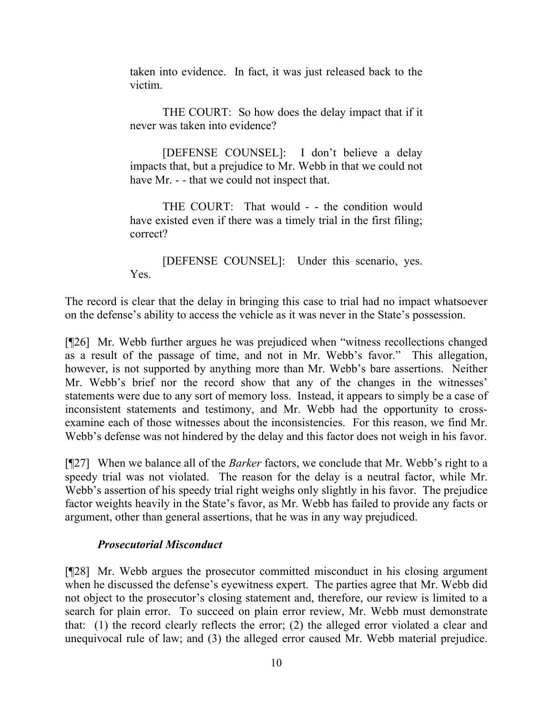taken into evidence. In fact, it was just released back to the victim.

THE COURT: So how does the delay impact that if it never was taken into evidence?

[DEFENSE COUNSEL]: I don't believe a delay impacts that, but a prejudice to Mr. Webb in that we could not have Mr. - - that we could not inspect that.

THE COURT: That would - - the condition would have existed even if there was a timely trial in the first filing; correct?

[DEFENSE COUNSEL]: Under this scenario, yes. Yes.

The record is clear that the delay in bringing this case to trial had no impact whatsoever on the defense's ability to access the vehicle as it was never in the State's possession.

[¶26] Mr. Webb further argues he was prejudiced when "witness recollections changed as a result of the passage of time, and not in Mr. Webb's favor." This allegation, however, is not supported by anything more than Mr. Webb's bare assertions. Neither Mr. Webb's brief nor the record show that any of the changes in the witnesses' statements were due to any sort of memory loss. Instead, it appears to simply be a case of inconsistent statements and testimony, and Mr. Webb had the opportunity to crossexamine each of those witnesses about the inconsistencies. For this reason, we find Mr. Webb's defense was not hindered by the delay and this factor does not weigh in his favor.

[¶27] When we balance all of the *Barker* factors, we conclude that Mr. Webb's right to a speedy trial was not violated. The reason for the delay is a neutral factor, while Mr. Webb's assertion of his speedy trial right weighs only slightly in his favor. The prejudice factor weights heavily in the State's favor, as Mr. Webb has failed to provide any facts or argument, other than general assertions, that he was in any way prejudiced.

# *Prosecutorial Misconduct*

[¶28] Mr. Webb argues the prosecutor committed misconduct in his closing argument when he discussed the defense's eyewitness expert. The parties agree that Mr. Webb did not object to the prosecutor's closing statement and, therefore, our review is limited to a search for plain error. To succeed on plain error review, Mr. Webb must demonstrate that: (1) the record clearly reflects the error; (2) the alleged error violated a clear and unequivocal rule of law; and (3) the alleged error caused Mr. Webb material prejudice.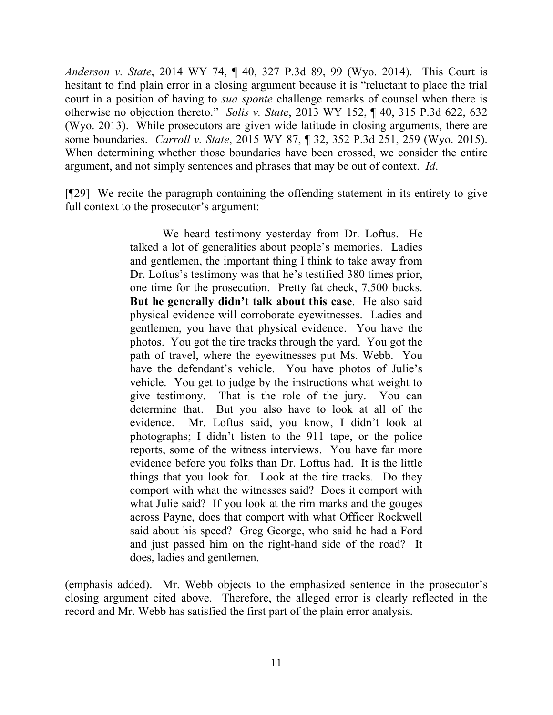*Anderson v. State*, 2014 WY 74, ¶ 40, 327 P.3d 89, 99 (Wyo. 2014). This Court is hesitant to find plain error in a closing argument because it is "reluctant to place the trial court in a position of having to *sua sponte* challenge remarks of counsel when there is otherwise no objection thereto." *Solis v. State*, 2013 WY 152, ¶ 40, 315 P.3d 622, 632 (Wyo. 2013). While prosecutors are given wide latitude in closing arguments, there are some boundaries. *Carroll v. State*, 2015 WY 87, ¶ 32, 352 P.3d 251, 259 (Wyo. 2015). When determining whether those boundaries have been crossed, we consider the entire argument, and not simply sentences and phrases that may be out of context. *Id*.

[¶29] We recite the paragraph containing the offending statement in its entirety to give full context to the prosecutor's argument:

> We heard testimony yesterday from Dr. Loftus. He talked a lot of generalities about people's memories. Ladies and gentlemen, the important thing I think to take away from Dr. Loftus's testimony was that he's testified 380 times prior, one time for the prosecution. Pretty fat check, 7,500 bucks. **But he generally didn't talk about this case**. He also said physical evidence will corroborate eyewitnesses. Ladies and gentlemen, you have that physical evidence. You have the photos. You got the tire tracks through the yard. You got the path of travel, where the eyewitnesses put Ms. Webb. You have the defendant's vehicle. You have photos of Julie's vehicle. You get to judge by the instructions what weight to give testimony. That is the role of the jury. You can determine that. But you also have to look at all of the evidence. Mr. Loftus said, you know, I didn't look at photographs; I didn't listen to the 911 tape, or the police reports, some of the witness interviews. You have far more evidence before you folks than Dr. Loftus had. It is the little things that you look for. Look at the tire tracks. Do they comport with what the witnesses said? Does it comport with what Julie said? If you look at the rim marks and the gouges across Payne, does that comport with what Officer Rockwell said about his speed? Greg George, who said he had a Ford and just passed him on the right-hand side of the road? It does, ladies and gentlemen.

(emphasis added). Mr. Webb objects to the emphasized sentence in the prosecutor's closing argument cited above. Therefore, the alleged error is clearly reflected in the record and Mr. Webb has satisfied the first part of the plain error analysis.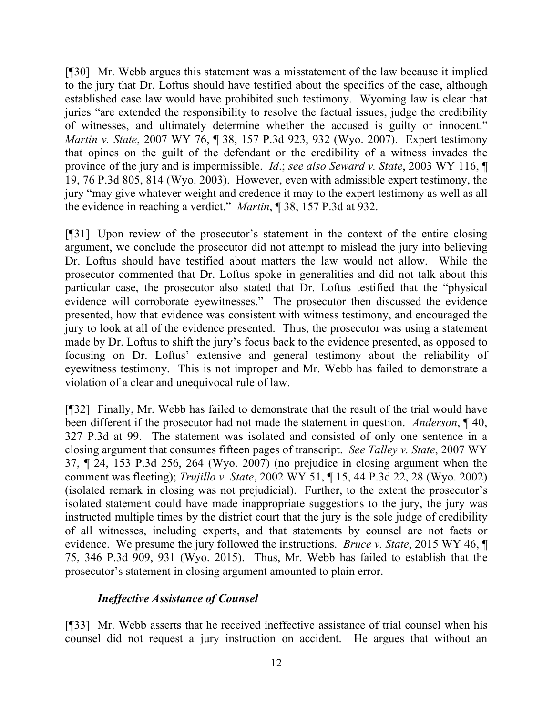[¶30] Mr. Webb argues this statement was a misstatement of the law because it implied to the jury that Dr. Loftus should have testified about the specifics of the case, although established case law would have prohibited such testimony. Wyoming law is clear that juries "are extended the responsibility to resolve the factual issues, judge the credibility of witnesses, and ultimately determine whether the accused is guilty or innocent." *Martin v. State*, 2007 WY 76, ¶ 38, 157 P.3d 923, 932 (Wyo. 2007). Expert testimony that opines on the guilt of the defendant or the credibility of a witness invades the province of the jury and is impermissible. *Id*.; *see also Seward v. State*, 2003 WY 116, ¶ 19, 76 P.3d 805, 814 (Wyo. 2003). However, even with admissible expert testimony, the jury "may give whatever weight and credence it may to the expert testimony as well as all the evidence in reaching a verdict." *Martin*, ¶ 38, 157 P.3d at 932.

[¶31] Upon review of the prosecutor's statement in the context of the entire closing argument, we conclude the prosecutor did not attempt to mislead the jury into believing Dr. Loftus should have testified about matters the law would not allow. While the prosecutor commented that Dr. Loftus spoke in generalities and did not talk about this particular case, the prosecutor also stated that Dr. Loftus testified that the "physical evidence will corroborate eyewitnesses." The prosecutor then discussed the evidence presented, how that evidence was consistent with witness testimony, and encouraged the jury to look at all of the evidence presented. Thus, the prosecutor was using a statement made by Dr. Loftus to shift the jury's focus back to the evidence presented, as opposed to focusing on Dr. Loftus' extensive and general testimony about the reliability of eyewitness testimony. This is not improper and Mr. Webb has failed to demonstrate a violation of a clear and unequivocal rule of law.

[¶32] Finally, Mr. Webb has failed to demonstrate that the result of the trial would have been different if the prosecutor had not made the statement in question. *Anderson*, ¶ 40, 327 P.3d at 99. The statement was isolated and consisted of only one sentence in a closing argument that consumes fifteen pages of transcript. *See Talley v. State*, 2007 WY 37, ¶ 24, 153 P.3d 256, 264 (Wyo. 2007) (no prejudice in closing argument when the comment was fleeting); *Trujillo v. State*, 2002 WY 51, ¶ 15, 44 P.3d 22, 28 (Wyo. 2002) (isolated remark in closing was not prejudicial). Further, to the extent the prosecutor's isolated statement could have made inappropriate suggestions to the jury, the jury was instructed multiple times by the district court that the jury is the sole judge of credibility of all witnesses, including experts, and that statements by counsel are not facts or evidence. We presume the jury followed the instructions. *Bruce v. State*, 2015 WY 46, ¶ 75, 346 P.3d 909, 931 (Wyo. 2015). Thus, Mr. Webb has failed to establish that the prosecutor's statement in closing argument amounted to plain error.

## *Ineffective Assistance of Counsel*

[¶33] Mr. Webb asserts that he received ineffective assistance of trial counsel when his counsel did not request a jury instruction on accident. He argues that without an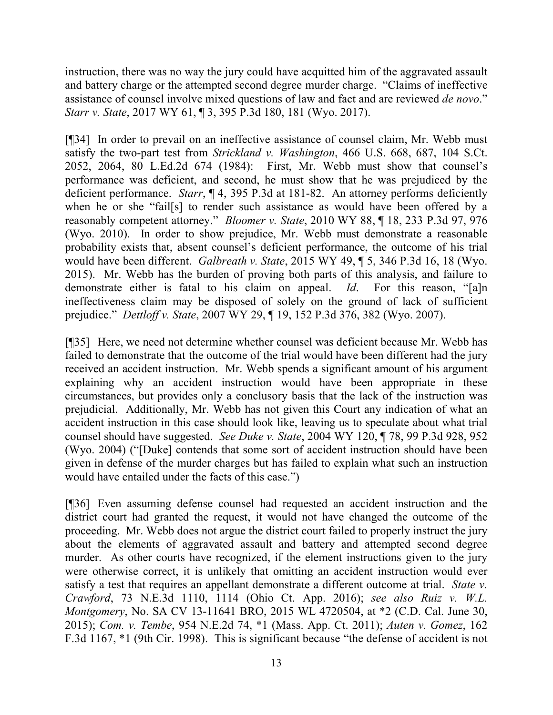instruction, there was no way the jury could have acquitted him of the aggravated assault and battery charge or the attempted second degree murder charge. "Claims of ineffective assistance of counsel involve mixed questions of law and fact and are reviewed *de novo*." *Starr v. State*, 2017 WY 61, ¶ 3, 395 P.3d 180, 181 (Wyo. 2017).

[¶34] In order to prevail on an ineffective assistance of counsel claim, Mr. Webb must satisfy the two-part test from *Strickland v. Washington*, 466 U.S. 668, 687, 104 S.Ct. 2052, 2064, 80 L.Ed.2d 674 (1984): First, Mr. Webb must show that counsel's performance was deficient, and second, he must show that he was prejudiced by the deficient performance. *Starr*, ¶ 4, 395 P.3d at 181-82. An attorney performs deficiently when he or she "fail[s] to render such assistance as would have been offered by a reasonably competent attorney." *Bloomer v. State*, 2010 WY 88, ¶ 18, 233 P.3d 97, 976 (Wyo. 2010). In order to show prejudice, Mr. Webb must demonstrate a reasonable probability exists that, absent counsel's deficient performance, the outcome of his trial would have been different. *Galbreath v. State*, 2015 WY 49, ¶ 5, 346 P.3d 16, 18 (Wyo. 2015). Mr. Webb has the burden of proving both parts of this analysis, and failure to demonstrate either is fatal to his claim on appeal. *Id*. For this reason, "[a]n ineffectiveness claim may be disposed of solely on the ground of lack of sufficient prejudice." *Dettloff v. State*, 2007 WY 29, ¶ 19, 152 P.3d 376, 382 (Wyo. 2007).

[¶35] Here, we need not determine whether counsel was deficient because Mr. Webb has failed to demonstrate that the outcome of the trial would have been different had the jury received an accident instruction. Mr. Webb spends a significant amount of his argument explaining why an accident instruction would have been appropriate in these circumstances, but provides only a conclusory basis that the lack of the instruction was prejudicial. Additionally, Mr. Webb has not given this Court any indication of what an accident instruction in this case should look like, leaving us to speculate about what trial counsel should have suggested. *See Duke v. State*, 2004 WY 120, ¶ 78, 99 P.3d 928, 952 (Wyo. 2004) ("[Duke] contends that some sort of accident instruction should have been given in defense of the murder charges but has failed to explain what such an instruction would have entailed under the facts of this case.")

[¶36] Even assuming defense counsel had requested an accident instruction and the district court had granted the request, it would not have changed the outcome of the proceeding. Mr. Webb does not argue the district court failed to properly instruct the jury about the elements of aggravated assault and battery and attempted second degree murder. As other courts have recognized, if the element instructions given to the jury were otherwise correct, it is unlikely that omitting an accident instruction would ever satisfy a test that requires an appellant demonstrate a different outcome at trial. *State v. Crawford*, 73 N.E.3d 1110, 1114 (Ohio Ct. App. 2016); *see also Ruiz v. W.L. Montgomery*, No. SA CV 13-11641 BRO, 2015 WL 4720504, at \*2 (C.D. Cal. June 30, 2015); *Com. v. Tembe*, 954 N.E.2d 74, \*1 (Mass. App. Ct. 2011); *Auten v. Gomez*, 162 F.3d 1167, \*1 (9th Cir. 1998). This is significant because "the defense of accident is not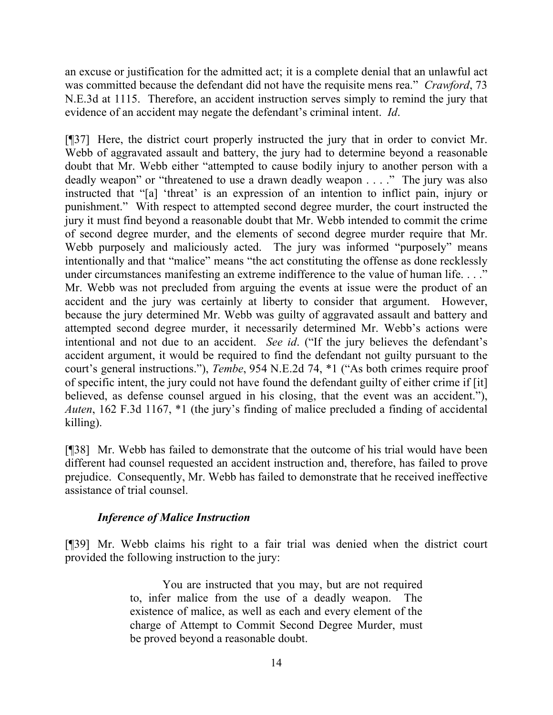an excuse or justification for the admitted act; it is a complete denial that an unlawful act was committed because the defendant did not have the requisite mens rea." *Crawford*, 73 N.E.3d at 1115. Therefore, an accident instruction serves simply to remind the jury that evidence of an accident may negate the defendant's criminal intent. *Id*.

[¶37] Here, the district court properly instructed the jury that in order to convict Mr. Webb of aggravated assault and battery, the jury had to determine beyond a reasonable doubt that Mr. Webb either "attempted to cause bodily injury to another person with a deadly weapon" or "threatened to use a drawn deadly weapon . . . ." The jury was also instructed that "[a] 'threat' is an expression of an intention to inflict pain, injury or punishment." With respect to attempted second degree murder, the court instructed the jury it must find beyond a reasonable doubt that Mr. Webb intended to commit the crime of second degree murder, and the elements of second degree murder require that Mr. Webb purposely and maliciously acted. The jury was informed "purposely" means intentionally and that "malice" means "the act constituting the offense as done recklessly under circumstances manifesting an extreme indifference to the value of human life. . . ." Mr. Webb was not precluded from arguing the events at issue were the product of an accident and the jury was certainly at liberty to consider that argument. However, because the jury determined Mr. Webb was guilty of aggravated assault and battery and attempted second degree murder, it necessarily determined Mr. Webb's actions were intentional and not due to an accident. *See id*. ("If the jury believes the defendant's accident argument, it would be required to find the defendant not guilty pursuant to the court's general instructions."), *Tembe*, 954 N.E.2d 74, \*1 ("As both crimes require proof of specific intent, the jury could not have found the defendant guilty of either crime if [it] believed, as defense counsel argued in his closing, that the event was an accident."), *Auten*, 162 F.3d 1167, \*1 (the jury's finding of malice precluded a finding of accidental killing).

[¶38] Mr. Webb has failed to demonstrate that the outcome of his trial would have been different had counsel requested an accident instruction and, therefore, has failed to prove prejudice. Consequently, Mr. Webb has failed to demonstrate that he received ineffective assistance of trial counsel.

# *Inference of Malice Instruction*

[¶39] Mr. Webb claims his right to a fair trial was denied when the district court provided the following instruction to the jury:

> You are instructed that you may, but are not required to, infer malice from the use of a deadly weapon. The existence of malice, as well as each and every element of the charge of Attempt to Commit Second Degree Murder, must be proved beyond a reasonable doubt.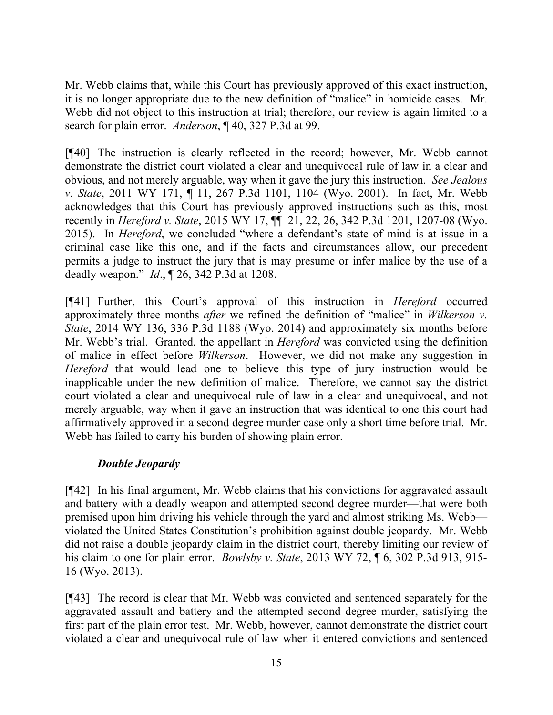Mr. Webb claims that, while this Court has previously approved of this exact instruction, it is no longer appropriate due to the new definition of "malice" in homicide cases. Mr. Webb did not object to this instruction at trial; therefore, our review is again limited to a search for plain error. *Anderson*, ¶ 40, 327 P.3d at 99.

[¶40] The instruction is clearly reflected in the record; however, Mr. Webb cannot demonstrate the district court violated a clear and unequivocal rule of law in a clear and obvious, and not merely arguable, way when it gave the jury this instruction. *See Jealous v. State*, 2011 WY 171, ¶ 11, 267 P.3d 1101, 1104 (Wyo. 2001). In fact, Mr. Webb acknowledges that this Court has previously approved instructions such as this, most recently in *Hereford v. State*, 2015 WY 17, ¶¶ 21, 22, 26, 342 P.3d 1201, 1207-08 (Wyo. 2015). In *Hereford*, we concluded "where a defendant's state of mind is at issue in a criminal case like this one, and if the facts and circumstances allow, our precedent permits a judge to instruct the jury that is may presume or infer malice by the use of a deadly weapon." *Id*., ¶ 26, 342 P.3d at 1208.

[¶41] Further, this Court's approval of this instruction in *Hereford* occurred approximately three months *after* we refined the definition of "malice" in *Wilkerson v. State*, 2014 WY 136, 336 P.3d 1188 (Wyo. 2014) and approximately six months before Mr. Webb's trial. Granted, the appellant in *Hereford* was convicted using the definition of malice in effect before *Wilkerson*. However, we did not make any suggestion in *Hereford* that would lead one to believe this type of jury instruction would be inapplicable under the new definition of malice. Therefore, we cannot say the district court violated a clear and unequivocal rule of law in a clear and unequivocal, and not merely arguable, way when it gave an instruction that was identical to one this court had affirmatively approved in a second degree murder case only a short time before trial. Mr. Webb has failed to carry his burden of showing plain error.

# *Double Jeopardy*

[¶42] In his final argument, Mr. Webb claims that his convictions for aggravated assault and battery with a deadly weapon and attempted second degree murder—that were both premised upon him driving his vehicle through the yard and almost striking Ms. Webb violated the United States Constitution's prohibition against double jeopardy. Mr. Webb did not raise a double jeopardy claim in the district court, thereby limiting our review of his claim to one for plain error. *Bowlsby v. State*, 2013 WY 72, ¶ 6, 302 P.3d 913, 915- 16 (Wyo. 2013).

[¶43] The record is clear that Mr. Webb was convicted and sentenced separately for the aggravated assault and battery and the attempted second degree murder, satisfying the first part of the plain error test. Mr. Webb, however, cannot demonstrate the district court violated a clear and unequivocal rule of law when it entered convictions and sentenced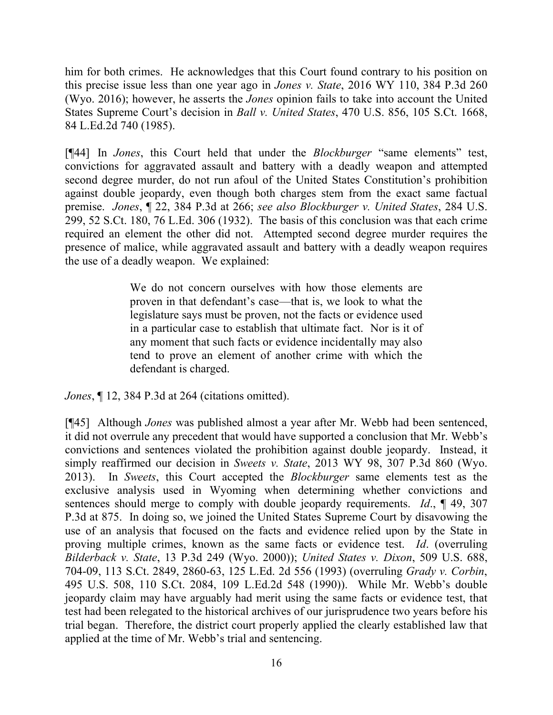him for both crimes. He acknowledges that this Court found contrary to his position on this precise issue less than one year ago in *Jones v. State*, 2016 WY 110, 384 P.3d 260 (Wyo. 2016); however, he asserts the *Jones* opinion fails to take into account the United States Supreme Court's decision in *Ball v. United States*, 470 U.S. 856, 105 S.Ct. 1668, 84 L.Ed.2d 740 (1985).

[¶44] In *Jones*, this Court held that under the *Blockburger* "same elements" test, convictions for aggravated assault and battery with a deadly weapon and attempted second degree murder, do not run afoul of the United States Constitution's prohibition against double jeopardy, even though both charges stem from the exact same factual premise. *Jones*, ¶ 22, 384 P.3d at 266; *see also Blockburger v. United States*, 284 U.S. 299, 52 S.Ct. 180, 76 L.Ed. 306 (1932). The basis of this conclusion was that each crime required an element the other did not. Attempted second degree murder requires the presence of malice, while aggravated assault and battery with a deadly weapon requires the use of a deadly weapon. We explained:

> We do not concern ourselves with how those elements are proven in that defendant's case—that is, we look to what the legislature says must be proven, not the facts or evidence used in a particular case to establish that ultimate fact. Nor is it of any moment that such facts or evidence incidentally may also tend to prove an element of another crime with which the defendant is charged.

*Jones*, ¶ 12, 384 P.3d at 264 (citations omitted).

[¶45] Although *Jones* was published almost a year after Mr. Webb had been sentenced, it did not overrule any precedent that would have supported a conclusion that Mr. Webb's convictions and sentences violated the prohibition against double jeopardy. Instead, it simply reaffirmed our decision in *Sweets v. State*, 2013 WY 98, 307 P.3d 860 (Wyo. 2013). In *Sweets*, this Court accepted the *Blockburger* same elements test as the exclusive analysis used in Wyoming when determining whether convictions and sentences should merge to comply with double jeopardy requirements. *Id*., ¶ 49, 307 P.3d at 875. In doing so, we joined the United States Supreme Court by disavowing the use of an analysis that focused on the facts and evidence relied upon by the State in proving multiple crimes, known as the same facts or evidence test. *Id*. (overruling *Bilderback v. State*, 13 P.3d 249 (Wyo. 2000)); *United States v. Dixon*, 509 U.S. 688, 704-09, 113 S.Ct. 2849, 2860-63, 125 L.Ed. 2d 556 (1993) (overruling *Grady v. Corbin*, 495 U.S. 508, 110 S.Ct. 2084, 109 L.Ed.2d 548 (1990)). While Mr. Webb's double jeopardy claim may have arguably had merit using the same facts or evidence test, that test had been relegated to the historical archives of our jurisprudence two years before his trial began. Therefore, the district court properly applied the clearly established law that applied at the time of Mr. Webb's trial and sentencing.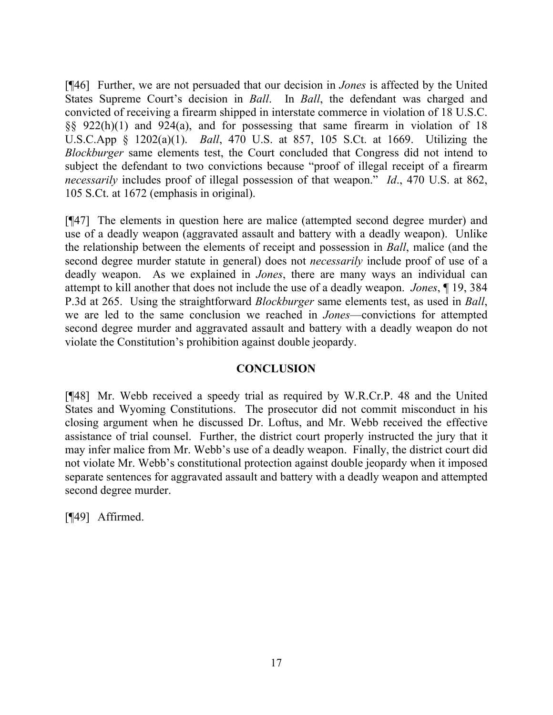[¶46] Further, we are not persuaded that our decision in *Jones* is affected by the United States Supreme Court's decision in *Ball*. In *Ball*, the defendant was charged and convicted of receiving a firearm shipped in interstate commerce in violation of 18 U.S.C. §§ 922(h)(1) and 924(a), and for possessing that same firearm in violation of 18 U.S.C.App § 1202(a)(1). *Ball*, 470 U.S. at 857, 105 S.Ct. at 1669. Utilizing the *Blockburger* same elements test, the Court concluded that Congress did not intend to subject the defendant to two convictions because "proof of illegal receipt of a firearm *necessarily* includes proof of illegal possession of that weapon." *Id*., 470 U.S. at 862, 105 S.Ct. at 1672 (emphasis in original).

[¶47] The elements in question here are malice (attempted second degree murder) and use of a deadly weapon (aggravated assault and battery with a deadly weapon). Unlike the relationship between the elements of receipt and possession in *Ball*, malice (and the second degree murder statute in general) does not *necessarily* include proof of use of a deadly weapon. As we explained in *Jones*, there are many ways an individual can attempt to kill another that does not include the use of a deadly weapon. *Jones*, ¶ 19, 384 P.3d at 265. Using the straightforward *Blockburger* same elements test, as used in *Ball*, we are led to the same conclusion we reached in *Jones*—convictions for attempted second degree murder and aggravated assault and battery with a deadly weapon do not violate the Constitution's prohibition against double jeopardy.

# **CONCLUSION**

[¶48] Mr. Webb received a speedy trial as required by W.R.Cr.P. 48 and the United States and Wyoming Constitutions. The prosecutor did not commit misconduct in his closing argument when he discussed Dr. Loftus, and Mr. Webb received the effective assistance of trial counsel. Further, the district court properly instructed the jury that it may infer malice from Mr. Webb's use of a deadly weapon. Finally, the district court did not violate Mr. Webb's constitutional protection against double jeopardy when it imposed separate sentences for aggravated assault and battery with a deadly weapon and attempted second degree murder.

[¶49] Affirmed.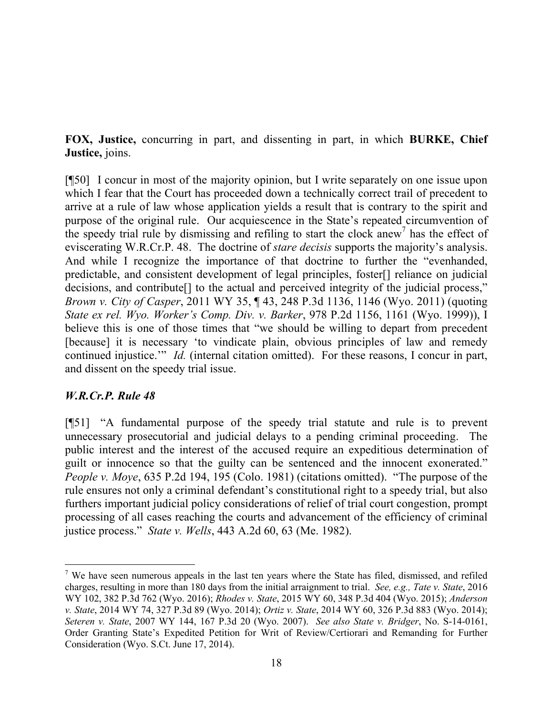**FOX, Justice,** concurring in part, and dissenting in part, in which **BURKE, Chief Justice,** joins.

[¶50] I concur in most of the majority opinion, but I write separately on one issue upon which I fear that the Court has proceeded down a technically correct trail of precedent to arrive at a rule of law whose application yields a result that is contrary to the spirit and purpose of the original rule. Our acquiescence in the State's repeated circumvention of the speedy trial rule by dismissing and refiling to start the clock anew<sup>7</sup> has the effect of eviscerating W.R.Cr.P. 48. The doctrine of *stare decisis* supports the majority's analysis. And while I recognize the importance of that doctrine to further the "evenhanded, predictable, and consistent development of legal principles, foster[] reliance on judicial decisions, and contribute[] to the actual and perceived integrity of the judicial process," *Brown v. City of Casper*, 2011 WY 35, ¶ 43, 248 P.3d 1136, 1146 (Wyo. 2011) (quoting *State ex rel. Wyo. Worker's Comp. Div. v. Barker*, 978 P.2d 1156, 1161 (Wyo. 1999)), I believe this is one of those times that "we should be willing to depart from precedent [because] it is necessary 'to vindicate plain, obvious principles of law and remedy continued injustice.'" *Id.* (internal citation omitted). For these reasons, I concur in part, and dissent on the speedy trial issue.

# *W.R.Cr.P. Rule 48*

l

[¶51] "A fundamental purpose of the speedy trial statute and rule is to prevent unnecessary prosecutorial and judicial delays to a pending criminal proceeding. The public interest and the interest of the accused require an expeditious determination of guilt or innocence so that the guilty can be sentenced and the innocent exonerated." *People v. Moye*, 635 P.2d 194, 195 (Colo. 1981) (citations omitted). "The purpose of the rule ensures not only a criminal defendant's constitutional right to a speedy trial, but also furthers important judicial policy considerations of relief of trial court congestion, prompt processing of all cases reaching the courts and advancement of the efficiency of criminal justice process." *State v. Wells*, 443 A.2d 60, 63 (Me. 1982).

 $<sup>7</sup>$  We have seen numerous appeals in the last ten years where the State has filed, dismissed, and refiled</sup> charges, resulting in more than 180 days from the initial arraignment to trial. *See, e.g., Tate v. State*, 2016 WY 102, 382 P.3d 762 (Wyo. 2016); *Rhodes v. State*, 2015 WY 60, 348 P.3d 404 (Wyo. 2015); *Anderson v. State*, 2014 WY 74, 327 P.3d 89 (Wyo. 2014); *Ortiz v. State*, 2014 WY 60, 326 P.3d 883 (Wyo. 2014); *Seteren v. State*, 2007 WY 144, 167 P.3d 20 (Wyo. 2007). *See also State v. Bridger*, No. S-14-0161, Order Granting State's Expedited Petition for Writ of Review/Certiorari and Remanding for Further Consideration (Wyo. S.Ct. June 17, 2014).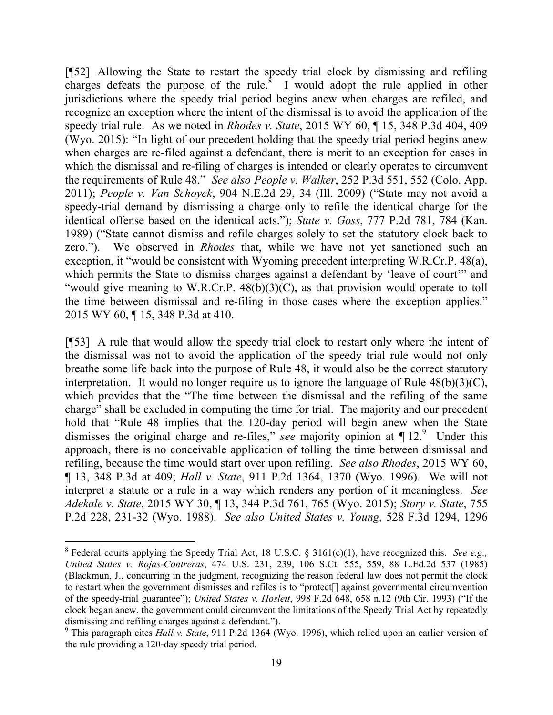[¶52] Allowing the State to restart the speedy trial clock by dismissing and refiling charges defeats the purpose of the rule. $\delta$  I would adopt the rule applied in other jurisdictions where the speedy trial period begins anew when charges are refiled, and recognize an exception where the intent of the dismissal is to avoid the application of the speedy trial rule. As we noted in *Rhodes v. State*, 2015 WY 60, ¶ 15, 348 P.3d 404, 409 (Wyo. 2015): "In light of our precedent holding that the speedy trial period begins anew when charges are re-filed against a defendant, there is merit to an exception for cases in which the dismissal and re-filing of charges is intended or clearly operates to circumvent the requirements of Rule 48." *See also People v. Walker*, 252 P.3d 551, 552 (Colo. App. 2011); *People v. Van Schoyck*, 904 N.E.2d 29, 34 (Ill. 2009) ("State may not avoid a speedy-trial demand by dismissing a charge only to refile the identical charge for the identical offense based on the identical acts."); *State v. Goss*, 777 P.2d 781, 784 (Kan. 1989) ("State cannot dismiss and refile charges solely to set the statutory clock back to zero."). We observed in *Rhodes* that, while we have not yet sanctioned such an exception, it "would be consistent with Wyoming precedent interpreting W.R.Cr.P. 48(a), which permits the State to dismiss charges against a defendant by 'leave of court'" and "would give meaning to W.R.Cr.P. 48(b)(3)(C), as that provision would operate to toll the time between dismissal and re-filing in those cases where the exception applies." 2015 WY 60, ¶ 15, 348 P.3d at 410.

[¶53] A rule that would allow the speedy trial clock to restart only where the intent of the dismissal was not to avoid the application of the speedy trial rule would not only breathe some life back into the purpose of Rule 48, it would also be the correct statutory interpretation. It would no longer require us to ignore the language of Rule 48(b)(3)(C), which provides that the "The time between the dismissal and the refiling of the same charge" shall be excluded in computing the time for trial. The majority and our precedent hold that "Rule 48 implies that the 120-day period will begin anew when the State dismisses the original charge and re-files," *see* majority opinion at ¶ 12.<sup>9</sup> Under this approach, there is no conceivable application of tolling the time between dismissal and refiling, because the time would start over upon refiling. *See also Rhodes*, 2015 WY 60, ¶ 13, 348 P.3d at 409; *Hall v. State*, 911 P.2d 1364, 1370 (Wyo. 1996). We will not interpret a statute or a rule in a way which renders any portion of it meaningless. *See Adekale v. State*, 2015 WY 30, ¶ 13, 344 P.3d 761, 765 (Wyo. 2015); *Story v. State*, 755 P.2d 228, 231-32 (Wyo. 1988). *See also United States v. Young*, 528 F.3d 1294, 1296

 $\overline{a}$ 

<sup>8</sup> Federal courts applying the Speedy Trial Act, 18 U.S.C. § 3161(c)(1), have recognized this. *See e.g., United States v. Rojas-Contreras*, 474 U.S. 231, 239, 106 S.Ct. 555, 559, 88 L.Ed.2d 537 (1985) (Blackmun, J., concurring in the judgment, recognizing the reason federal law does not permit the clock to restart when the government dismisses and refiles is to "protect[] against governmental circumvention of the speedy-trial guarantee"); *United States v. Hoslett*, 998 F.2d 648, 658 n.12 (9th Cir. 1993) ("If the clock began anew, the government could circumvent the limitations of the Speedy Trial Act by repeatedly dismissing and refiling charges against a defendant.").

<sup>9</sup> This paragraph cites *Hall v. State*, 911 P.2d 1364 (Wyo. 1996), which relied upon an earlier version of the rule providing a 120-day speedy trial period.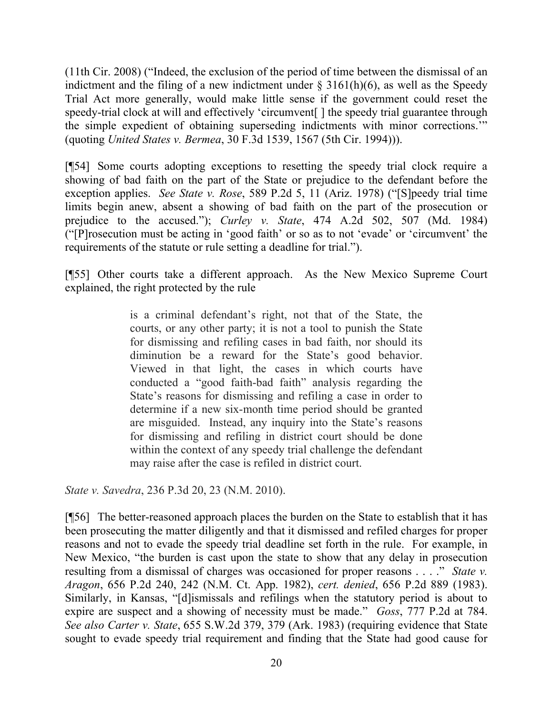(11th Cir. 2008) ("Indeed, the exclusion of the period of time between the dismissal of an indictment and the filing of a new indictment under  $\S$  3161(h)(6), as well as the Speedy Trial Act more generally, would make little sense if the government could reset the speedy-trial clock at will and effectively 'circumvent. I the speedy trial guarantee through the simple expedient of obtaining superseding indictments with minor corrections.'" (quoting *United States v. Bermea*, 30 F.3d 1539, 1567 (5th Cir. 1994))).

[¶54] Some courts adopting exceptions to resetting the speedy trial clock require a showing of bad faith on the part of the State or prejudice to the defendant before the exception applies. *See State v. Rose*, 589 P.2d 5, 11 (Ariz. 1978) ("[S]peedy trial time limits begin anew, absent a showing of bad faith on the part of the prosecution or prejudice to the accused."); *Curley v. State*, 474 A.2d 502, 507 (Md. 1984) ("[P]rosecution must be acting in 'good faith' or so as to not 'evade' or 'circumvent' the requirements of the statute or rule setting a deadline for trial.").

[¶55] Other courts take a different approach. As the New Mexico Supreme Court explained, the right protected by the rule

> is a criminal defendant's right, not that of the State, the courts, or any other party; it is not a tool to punish the State for dismissing and refiling cases in bad faith, nor should its diminution be a reward for the State's good behavior. Viewed in that light, the cases in which courts have conducted a "good faith-bad faith" analysis regarding the State's reasons for dismissing and refiling a case in order to determine if a new six-month time period should be granted are misguided. Instead, any inquiry into the State's reasons for dismissing and refiling in district court should be done within the context of any speedy trial challenge the defendant may raise after the case is refiled in district court.

*State v. Savedra*, 236 P.3d 20, 23 (N.M. 2010).

[¶56] The better-reasoned approach places the burden on the State to establish that it has been prosecuting the matter diligently and that it dismissed and refiled charges for proper reasons and not to evade the speedy trial deadline set forth in the rule. For example, in New Mexico, "the burden is cast upon the state to show that any delay in prosecution resulting from a dismissal of charges was occasioned for proper reasons . . . ." *State v. Aragon*, 656 P.2d 240, 242 (N.M. Ct. App. 1982), *cert. denied*, 656 P.2d 889 (1983). Similarly, in Kansas, "[d]ismissals and refilings when the statutory period is about to expire are suspect and a showing of necessity must be made." *Goss*, 777 P.2d at 784. *See also Carter v. State*, 655 S.W.2d 379, 379 (Ark. 1983) (requiring evidence that State sought to evade speedy trial requirement and finding that the State had good cause for